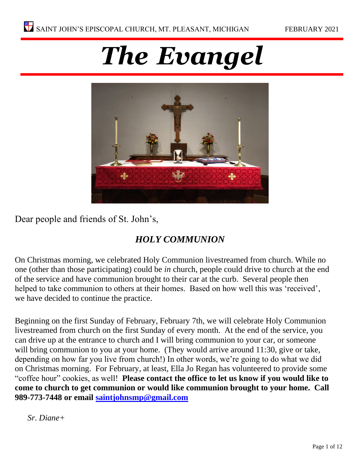# *The Evangel*



Dear people and friends of St. John's,

### *HOLY COMMUNION*

On Christmas morning, we celebrated Holy Communion livestreamed from church. While no one (other than those participating) could be *in* church, people could drive to church at the end of the service and have communion brought to their car at the curb. Several people then helped to take communion to others at their homes. Based on how well this was 'received', we have decided to continue the practice.

Beginning on the first Sunday of February, February 7th, we will celebrate Holy Communion livestreamed from church on the first Sunday of every month. At the end of the service, you can drive up at the entrance to church and I will bring communion to your car, or someone will bring communion to you at your home. (They would arrive around 11:30, give or take, depending on how far you live from church!) In other words, we're going to do what we did on Christmas morning. For February, at least, Ella Jo Regan has volunteered to provide some "coffee hour" cookies, as well! **Please contact the office to let us know if you would like to come to church to get communion or would like communion brought to your home. Call 989-773-7448 or email [saintjohnsmp@gmail.com](mailto:saintjohnsmp@gmail.com)**

*Sr. Diane+*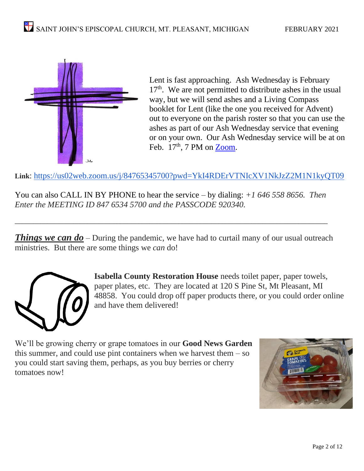

Lent is fast approaching. Ash Wednesday is February 17<sup>th</sup>. We are not permitted to distribute ashes in the usual way, but we will send ashes and a Living Compass booklet for Lent (like the one you received for Advent) out to everyone on the parish roster so that you can use the ashes as part of our Ash Wednesday service that evening or on your own. Our Ash Wednesday service will be at on Feb.  $17<sup>th</sup>$ , 7 PM on [Zoom.](https://us02web.zoom.us/j/84765345700?pwd=YkI4RDErVTNIcXV1NkJzZ2M1N1kyQT09)

**Link**: <https://us02web.zoom.us/j/84765345700?pwd=YkI4RDErVTNIcXV1NkJzZ2M1N1kyQT09>

You can also CALL IN BY PHONE to hear the service – by dialing: *+1 646 558 8656. Then Enter the MEETING ID 847 6534 5700 and the PASSCODE 920340.* 

\_\_\_\_\_\_\_\_\_\_\_\_\_\_\_\_\_\_\_\_\_\_\_\_\_\_\_\_\_\_\_\_\_\_\_\_\_\_\_\_\_\_\_\_\_\_\_\_\_\_\_\_\_\_\_\_\_\_\_\_\_\_\_\_\_\_\_\_\_\_\_\_\_\_\_\_\_\_\_\_\_\_\_\_\_\_

**Things we can do** – During the pandemic, we have had to curtail many of our usual outreach ministries. But there are some things we *can* do!



**Isabella County Restoration House** needs toilet paper, paper towels, paper plates, etc. They are located at 120 S Pine St, Mt Pleasant, MI 48858. You could drop off paper products there, or you could order online and have them delivered!

We'll be growing cherry or grape tomatoes in our **Good News Garden**  this summer, and could use pint containers when we harvest them  $-$  so you could start saving them, perhaps, as you buy berries or cherry tomatoes now!

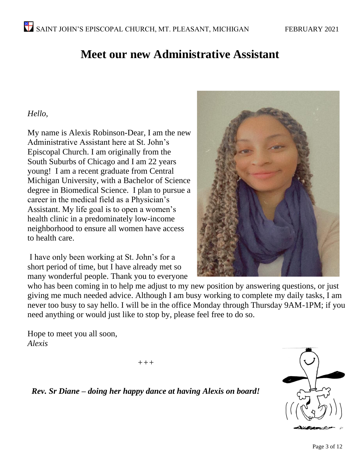### **Meet our new Administrative Assistant**

#### *Hello,*

My name is Alexis Robinson-Dear, I am the new Administrative Assistant here at St. John's Episcopal Church. I am originally from the South Suburbs of Chicago and I am 22 years young! I am a recent graduate from Central Michigan University, with a Bachelor of Science degree in Biomedical Science. I plan to pursue a career in the medical field as a Physician's Assistant. My life goal is to open a women's health clinic in a predominately low-income neighborhood to ensure all women have access to health care.

I have only been working at St. John's for a short period of time, but I have already met so many wonderful people. Thank you to everyone



who has been coming in to help me adjust to my new position by answering questions, or just giving me much needed advice. Although I am busy working to complete my daily tasks, I am never too busy to say hello. I will be in the office Monday through Thursday 9AM-1PM; if you need anything or would just like to stop by, please feel free to do so.

Hope to meet you all soon, *Alexis* 

*+++*

*Rev. Sr Diane – doing her happy dance at having Alexis on board!*

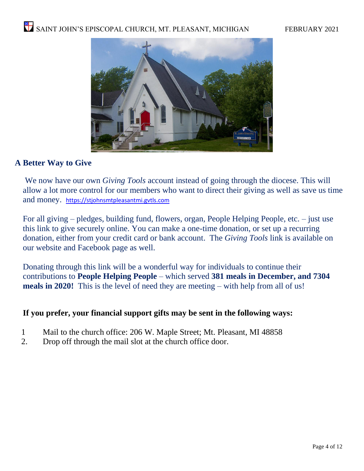

#### **A Better Way to Give**

We now have our own *Giving Tools* account instead of going through the diocese. This will allow a lot more control for our members who want to direct their giving as well as save us time and money. [https://stjohnsmtpleasantmi.gvtls.com](https://stjohnsmtpleasantmi.gvtls.com/)

For all giving – pledges, building fund, flowers, organ, People Helping People, etc. – just use this link to give securely online. You can make a one-time donation, or set up a recurring donation, either from your credit card or bank account. The *Giving Tools* link is available on our website and Facebook page as well.

Donating through this link will be a wonderful way for individuals to continue their contributions to **People Helping People** – which served **381 meals in December, and 7304 meals in 2020!** This is the level of need they are meeting – with help from all of us!

#### **If you prefer, your financial support gifts may be sent in the following ways:**

- 1 Mail to the church office: 206 W. Maple Street; Mt. Pleasant, MI 48858
- 2. Drop off through the mail slot at the church office door.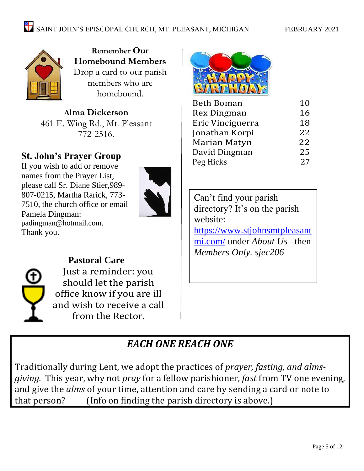

**Remember Our Homebound Members**  Drop a card to our parish members who are homebound.

**Alma Dickerson** 461 E. Wing Rd., Mt. Pleasant 772-2516.

### **St. John's Prayer Group**

If you wish to add or remove names from the Prayer List, please call Sr. Diane Stier,989- 807-0215, Martha Rarick, 773- 7510, the church office or email Pamela Dingman: [padingman@hotmail.com.](mailto:padingman@hotmail.com) Thank you.





**Pastoral Care** Just a reminder: you should let the parish office know if you are ill and wish to receive a call from the Rector.



| <b>Beth Boman</b>  | 10 |
|--------------------|----|
| <b>Rex Dingman</b> | 16 |
| Eric Vinciguerra   | 18 |
| Jonathan Korpi     | 22 |
| Marian Matyn       | 22 |
| David Dingman      | 25 |
| Peg Hicks          | 27 |

Can't find your parish directory? It's on the parish website: [https://www.stjohnsmtpleasant](https://www.stjohnsmtpleasantmi.com/) [mi.com/](https://www.stjohnsmtpleasantmi.com/) under *About Us –*then *Members Only. sjec206*

### *EACH ONE REACH ONE*

Traditionally during Lent, we adopt the practices of *prayer, fasting, and almsgiving.* This year, why not *pray* for a fellow parishioner, *fast* from TV one evening, and give the *alms* of your time, attention and care by sending a card or note to that person? (Info on finding the parish directory is above.)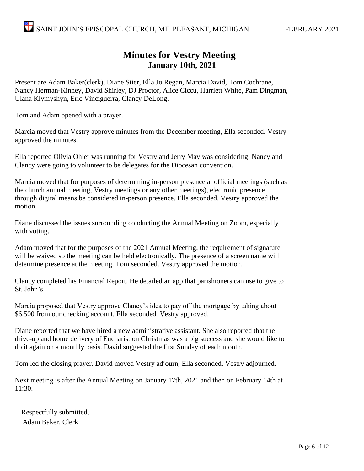### **Minutes for Vestry Meeting January 10th, 2021**

Present are Adam Baker(clerk), Diane Stier, Ella Jo Regan, Marcia David, Tom Cochrane, Nancy Herman-Kinney, David Shirley, DJ Proctor, Alice Ciccu, Harriett White, Pam Dingman, Ulana Klymyshyn, Eric Vinciguerra, Clancy DeLong.

Tom and Adam opened with a prayer.

Marcia moved that Vestry approve minutes from the December meeting, Ella seconded. Vestry approved the minutes.

Ella reported Olivia Ohler was running for Vestry and Jerry May was considering. Nancy and Clancy were going to volunteer to be delegates for the Diocesan convention.

Marcia moved that for purposes of determining in-person presence at official meetings (such as the church annual meeting, Vestry meetings or any other meetings), electronic presence through digital means be considered in-person presence. Ella seconded. Vestry approved the motion.

Diane discussed the issues surrounding conducting the Annual Meeting on Zoom, especially with voting.

Adam moved that for the purposes of the 2021 Annual Meeting, the requirement of signature will be waived so the meeting can be held electronically. The presence of a screen name will determine presence at the meeting. Tom seconded. Vestry approved the motion.

Clancy completed his Financial Report. He detailed an app that parishioners can use to give to St. John's.

Marcia proposed that Vestry approve Clancy's idea to pay off the mortgage by taking about \$6,500 from our checking account. Ella seconded. Vestry approved.

Diane reported that we have hired a new administrative assistant. She also reported that the drive-up and home delivery of Eucharist on Christmas was a big success and she would like to do it again on a monthly basis. David suggested the first Sunday of each month.

Tom led the closing prayer. David moved Vestry adjourn, Ella seconded. Vestry adjourned.

Next meeting is after the Annual Meeting on January 17th, 2021 and then on February 14th at 11:30.

Respectfully submitted, Adam Baker, Clerk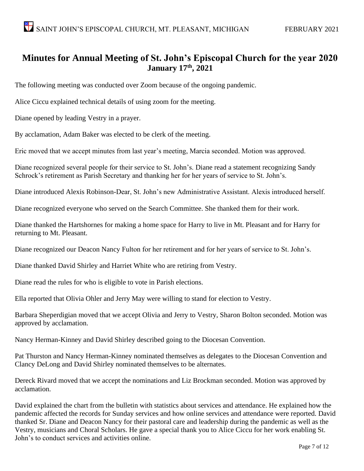#### **Minutes for Annual Meeting of St. John's Episcopal Church for the year 2020 January 17th, 2021**

The following meeting was conducted over Zoom because of the ongoing pandemic.

Alice Ciccu explained technical details of using zoom for the meeting.

Diane opened by leading Vestry in a prayer.

By acclamation, Adam Baker was elected to be clerk of the meeting.

Eric moved that we accept minutes from last year's meeting, Marcia seconded. Motion was approved.

Diane recognized several people for their service to St. John's. Diane read a statement recognizing Sandy Schrock's retirement as Parish Secretary and thanking her for her years of service to St. John's.

Diane introduced Alexis Robinson-Dear, St. John's new Administrative Assistant. Alexis introduced herself.

Diane recognized everyone who served on the Search Committee. She thanked them for their work.

Diane thanked the Hartshornes for making a home space for Harry to live in Mt. Pleasant and for Harry for returning to Mt. Pleasant.

Diane recognized our Deacon Nancy Fulton for her retirement and for her years of service to St. John's.

Diane thanked David Shirley and Harriet White who are retiring from Vestry.

Diane read the rules for who is eligible to vote in Parish elections.

Ella reported that Olivia Ohler and Jerry May were willing to stand for election to Vestry.

Barbara Sheperdigian moved that we accept Olivia and Jerry to Vestry, Sharon Bolton seconded. Motion was approved by acclamation.

Nancy Herman-Kinney and David Shirley described going to the Diocesan Convention.

Pat Thurston and Nancy Herman-Kinney nominated themselves as delegates to the Diocesan Convention and Clancy DeLong and David Shirley nominated themselves to be alternates.

Dereck Rivard moved that we accept the nominations and Liz Brockman seconded. Motion was approved by acclamation.

David explained the chart from the bulletin with statistics about services and attendance. He explained how the pandemic affected the records for Sunday services and how online services and attendance were reported. David thanked Sr. Diane and Deacon Nancy for their pastoral care and leadership during the pandemic as well as the Vestry, musicians and Choral Scholars. He gave a special thank you to Alice Ciccu for her work enabling St. John's to conduct services and activities online.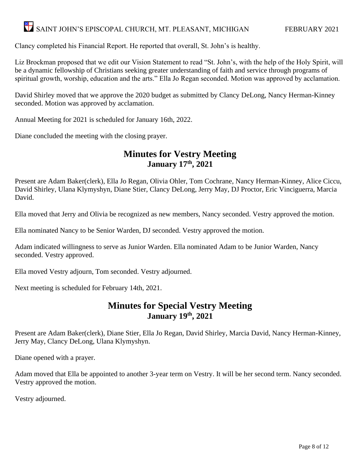## SAINT JOHN'S EPISCOPAL CHURCH, MT. PLEASANT, MICHIGAN FEBRUARY 2021

Clancy completed his Financial Report. He reported that overall, St. John's is healthy.

Liz Brockman proposed that we edit our Vision Statement to read "St. John's, with the help of the Holy Spirit, will be a dynamic fellowship of Christians seeking greater understanding of faith and service through programs of spiritual growth, worship, education and the arts." Ella Jo Regan seconded. Motion was approved by acclamation.

David Shirley moved that we approve the 2020 budget as submitted by Clancy DeLong, Nancy Herman-Kinney seconded. Motion was approved by acclamation.

Annual Meeting for 2021 is scheduled for January 16th, 2022.

Diane concluded the meeting with the closing prayer.

#### **Minutes for Vestry Meeting January 17th, 2021**

Present are Adam Baker(clerk), Ella Jo Regan, Olivia Ohler, Tom Cochrane, Nancy Herman-Kinney, Alice Ciccu, David Shirley, Ulana Klymyshyn, Diane Stier, Clancy DeLong, Jerry May, DJ Proctor, Eric Vinciguerra, Marcia David.

Ella moved that Jerry and Olivia be recognized as new members, Nancy seconded. Vestry approved the motion.

Ella nominated Nancy to be Senior Warden, DJ seconded. Vestry approved the motion.

Adam indicated willingness to serve as Junior Warden. Ella nominated Adam to be Junior Warden, Nancy seconded. Vestry approved.

Ella moved Vestry adjourn, Tom seconded. Vestry adjourned.

Next meeting is scheduled for February 14th, 2021.

#### **Minutes for Special Vestry Meeting January 19 th, 2021**

Present are Adam Baker(clerk), Diane Stier, Ella Jo Regan, David Shirley, Marcia David, Nancy Herman-Kinney, Jerry May, Clancy DeLong, Ulana Klymyshyn.

Diane opened with a prayer.

Adam moved that Ella be appointed to another 3-year term on Vestry. It will be her second term. Nancy seconded. Vestry approved the motion.

Vestry adjourned.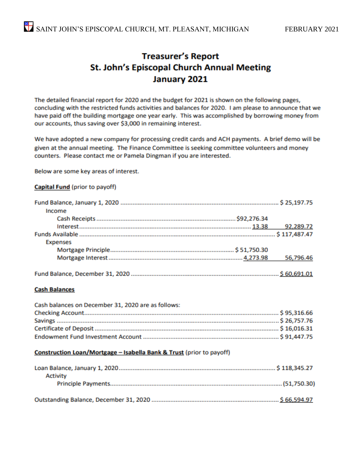### **Treasurer's Report** St. John's Episcopal Church Annual Meeting January 2021

The detailed financial report for 2020 and the budget for 2021 is shown on the following pages, concluding with the restricted funds activities and balances for 2020. I am please to announce that we have paid off the building mortgage one year early. This was accomplished by borrowing money from our accounts, thus saving over \$3,000 in remaining interest.

We have adopted a new company for processing credit cards and ACH payments. A brief demo will be given at the annual meeting. The Finance Committee is seeking committee volunteers and money counters. Please contact me or Pamela Dingman if you are interested.

Below are some key areas of interest.

#### Capital Fund (prior to payoff)

| Income          |           |
|-----------------|-----------|
|                 |           |
|                 |           |
|                 |           |
| <b>Expenses</b> |           |
|                 |           |
|                 | 56,796.46 |
|                 |           |

#### **Cash Balances**

| Cash balances on December 31, 2020 are as follows: |  |
|----------------------------------------------------|--|
|                                                    |  |
|                                                    |  |
|                                                    |  |
|                                                    |  |

#### Construction Loan/Mortgage - Isabella Bank & Trust (prior to payoff)

| Activity |  |
|----------|--|
|          |  |
|          |  |
|          |  |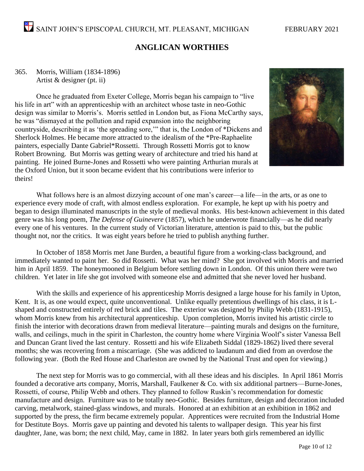#### **ANGLICAN WORTHIES**

#### 365. Morris, William (1834-1896) Artist & designer (pt. ii)

Once he graduated from Exeter College, Morris began his campaign to "live his life in art" with an apprenticeship with an architect whose taste in neo-Gothic design was similar to Morris's. Morris settled in London but, as Fiona McCarthy says, he was "dismayed at the pollution and rapid expansion into the neighboring countryside, describing it as 'the spreading sore,'" that is, the London of \*Dickens and Sherlock Holmes. He became more attracted to the idealism of the \*Pre-Raphaelite painters, especially Dante Gabriel\*Rossetti. Through Rossetti Morris got to know Robert Browning. But Morris was getting weary of architecture and tried his hand at painting. He joined Burne-Jones and Rossetti who were painting Arthurian murals at the Oxford Union, but it soon became evident that his contributions were inferior to theirs!



What follows here is an almost dizzying account of one man's career—a life—in the arts, or as one to experience every mode of craft, with almost endless exploration. For example, he kept up with his poetry and began to design illuminated manuscripts in the style of medieval monks. His best-known achievement in this dated genre was his long poem, *The Defense of Guinevere* (1857), which he underwrote financially—as he did nearly every one of his ventures. In the current study of Victorian literature, attention is paid to this, but the public thought not, nor the critics. It was eight years before he tried to publish anything further.

In October of 1858 Morris met Jane Burden, a beautiful figure from a working-class background, and immediately wanted to paint her. So did Rossetti. What was her mind? She got involved with Morris and married him in April 1859. The honeymooned in Belgium before settling down in London. Of this union there were two children. Yet later in life she got involved with someone else and admitted that she never loved her husband.

With the skills and experience of his apprenticeship Morris designed a large house for his family in Upton, Kent. It is, as one would expect, quite unconventional. Unlike equally pretentious dwellings of his class, it is Lshaped and constructed entirely of red brick and tiles. The exterior was designed by Philip Webb (1831-1915), whom Morris knew from his architectural apprenticeship. Upon completion, Morris invited his artistic circle to finish the interior with decorations drawn from medieval literature—painting murals and designs on the furniture, walls, and ceilings, much in the spirit in Charleston, the country home where Virginia Woolf's sister Vanessa Bell and Duncan Grant lived the last century. Rossetti and his wife Elizabeth Siddal (1829-1862) lived there several months; she was recovering from a miscarriage. (She was addicted to laudanum and died from an overdose the following year. (Both the Red House and Charleston are owned by the National Trust and open for viewing.)

The next step for Morris was to go commercial, with all these ideas and his disciples. In April 1861 Morris founded a decorative arts company, Morris, Marshall, Faulkener & Co. with six additional partners—Burne-Jones, Rossetti, of course, Philip Webb and others. They planned to follow Ruskin's recommendation for domestic manufacture and design. Furniture was to be totally neo-Gothic. Besides furniture, design and decoration included carving, metalwork, stained-glass windows, and murals. Honored at an exhibition at an exhibition in 1862 and supported by the press, the firm became extremely popular. Apprentices were recruited from the Industrial Home for Destitute Boys. Morris gave up painting and devoted his talents to wallpaper design. This year his first daughter, Jane, was born; the next child, May, came in 1882. In later years both girls remembered an idyllic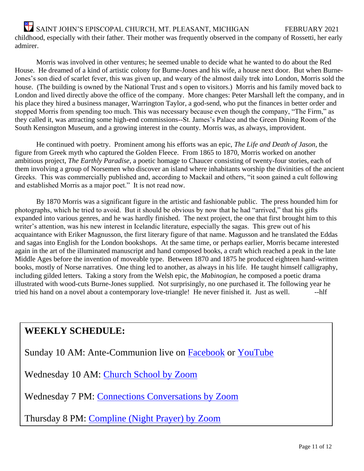SAINT JOHN'S EPISCOPAL CHURCH, MT. PLEASANT, MICHIGAN FEBRUARY 2021 childhood, especially with their father. Their mother was frequently observed in the company of Rossetti, her early admirer.

Morris was involved in other ventures; he seemed unable to decide what he wanted to do about the Red House. He dreamed of a kind of artistic colony for Burne-Jones and his wife, a house next door. But when Burne-Jones's son died of scarlet fever, this was given up, and weary of the almost daily trek into London, Morris sold the house. (The building is owned by the National Trust and s open to visitors.) Morris and his family moved back to London and lived directly above the office of the company. More changes: Peter Marshall left the company, and in his place they hired a business manager, Warrington Taylor, a god-send, who put the finances in better order and stopped Morris from spending too much. This was necessary because even though the company, "The Firm," as they called it, was attracting some high-end commissions--St. James's Palace and the Green Dining Room of the South Kensington Museum, and a growing interest in the county. Morris was, as always, improvident.

He continued with poetry. Prominent among his efforts was an epic, *The Life and Death of Jason*, the figure from Greek myth who captured the Golden Fleece. From 1865 to 1870, Morris worked on another ambitious project, *The Earthly Paradise*, a poetic homage to Chaucer consisting of twenty-four stories, each of them involving a group of Norsemen who discover an island where inhabitants worship the divinities of the ancient Greeks. This was commercially published and, according to Mackail and others, "it soon gained a cult following and established Morris as a major poet." It is not read now.

By 1870 Morris was a significant figure in the artistic and fashionable public. The press hounded him for photographs, which he tried to avoid. But it should be obvious by now that he had "arrived," that his gifts expanded into various genres, and he was hardly finished. The next project, the one that first brought him to this writer's attention, was his new interest in Icelandic literature, especially the sagas. This grew out of his acquaintance with Eriker Magnusson, the first literary figure of that name. Magusson and he translated the Eddas and sagas into English for the London bookshops. At the same time, or perhaps earlier, Morris became interested again in the art of the illuminated manuscript and hand composed books, a craft which reached a peak in the late Middle Ages before the invention of moveable type. Between 1870 and 1875 he produced eighteen hand-written books, mostly of Norse narratives. One thing led to another, as always in his life. He taught himself calligraphy, including gilded letters. Taking a story from the Welsh epic, the *Mabinogian*, he composed a poetic drama illustrated with wood-cuts Burne-Jones supplied. Not surprisingly, no one purchased it. The following year he tried his hand on a novel about a contemporary love-triangle! He never finished it. Just as well. --hlf

### **WEEKLY SCHEDULE:**

Sunday 10 AM: Ante-Communion live on **Facebook** or [YouTube](https://www.youtube.com/channel/UCqvBWSJZnVQHBDdRtL0OpoQ)

Wednesday 10 AM: [Church School by Zoom](https://us02web.zoom.us/j/83360661786?pwd=N3RiRUFEL2pwLzlQM0ZucGhvZkRUZz09)

Wednesday 7 PM: [Connections Conversations by Zoom](https://us02web.zoom.us/j/84765345700?pwd=YkI4RDErVTNIcXV1NkJzZ2M1N1kyQT09)

Thursday 8 PM: [Compline \(Night Prayer\) by Zoom](https://us02web.zoom.us/j/2546144396?pwd=Z3lITkZuZjd0Q0JTRi9ZMWQvNVhNZz09)